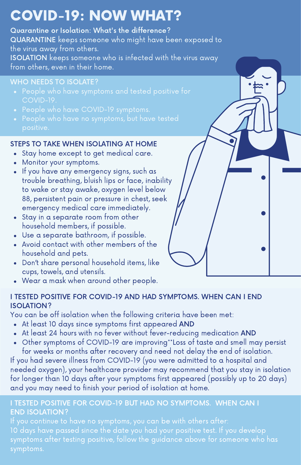# COVID-19: NOW WHAT?

Quarantine or Isolation: What's the difference? QUARANTINE keeps someone who might have been exposed to the virus away from others. ISOLATION keeps someone who is infected with the virus away from others, even in their home.

### WHO NEEDS TO ISOLATE?

- 
- 
- 

# STEPS TO TAKE WHEN ISOLATING AT HOME

- Stay home except to get medical care.
- Monitor your symptoms.
- If you have any emergency signs, such as trouble breathing, bluish lips or face, inability to wake or stay awake, oxygen level below 88, persistent pain or pressure in chest, seek emergency medical care immediately.
- Stay in a separate room from other household members, if possible.
- Use a separate bathroom, if possible.
- Avoid contact with other members of the household and pets.
- Don't share personal household items, like cups, towels, and utensils.
- Wear a mask when around other people.

#### I TESTED POSITIVE FOR COVID-19 AND HAD SYMPTOMS. WHEN CAN I END ISOLATION?

You can be off isolation when the following criteria have been met:

- At least 10 days since symptoms first appeared AND
- At least 24 hours with no fever without fever-reducing medication AND  $\bullet$
- Other symptoms of COVID-19 are improving\*\*Loss of taste and smell may persist for weeks or months after recovery and need not delay the end of isolation.

If you had severe illness from COVID-19 (you were admitted to a hospital and needed oxygen), your healthcare provider may recommend that you stay in isolation for longer than 10 days after your symptoms first appeared (possibly up to 20 days) and you may need to finish your period of isolation at home.

#### I TESTED POSITIVE FOR COVID-19 BUT HAD NO SYMPTOMS. WHEN CAN I END ISOLATION?